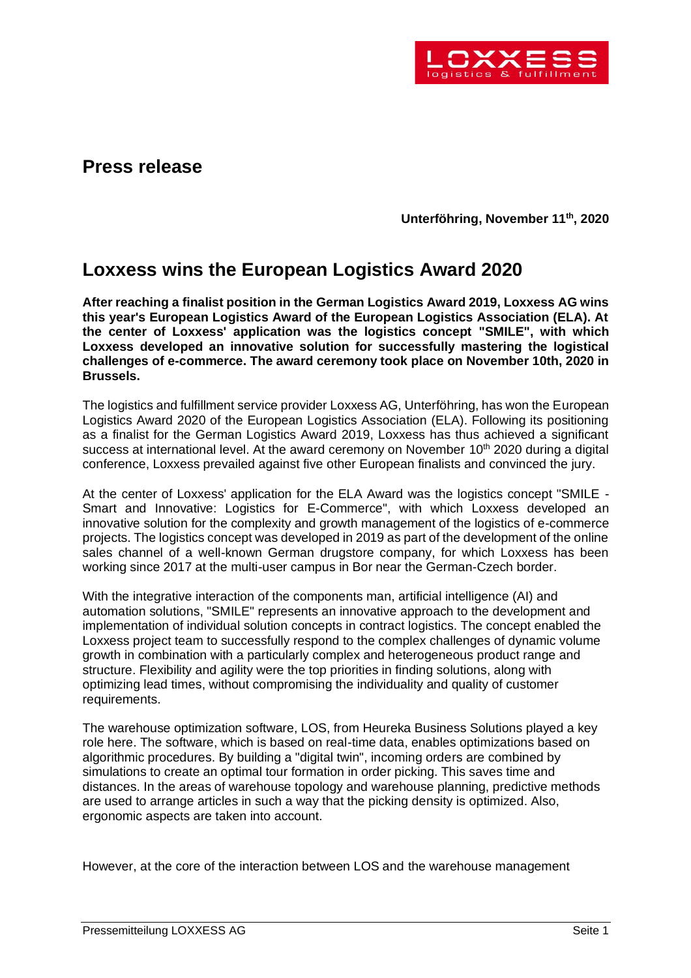

## **Press release**

**Unterföhring, November 11th , 2020**

## **Loxxess wins the European Logistics Award 2020**

**After reaching a finalist position in the German Logistics Award 2019, Loxxess AG wins this year's European Logistics Award of the European Logistics Association (ELA). At the center of Loxxess' application was the logistics concept "SMILE", with which Loxxess developed an innovative solution for successfully mastering the logistical challenges of e-commerce. The award ceremony took place on November 10th, 2020 in Brussels.** 

The logistics and fulfillment service provider Loxxess AG, Unterföhring, has won the European Logistics Award 2020 of the European Logistics Association (ELA). Following its positioning as a finalist for the German Logistics Award 2019, Loxxess has thus achieved a significant success at international level. At the award ceremony on November  $10<sup>th</sup>$  2020 during a digital conference, Loxxess prevailed against five other European finalists and convinced the jury.

At the center of Loxxess' application for the ELA Award was the logistics concept "SMILE - Smart and Innovative: Logistics for E-Commerce", with which Loxxess developed an innovative solution for the complexity and growth management of the logistics of e-commerce projects. The logistics concept was developed in 2019 as part of the development of the online sales channel of a well-known German drugstore company, for which Loxxess has been working since 2017 at the multi-user campus in Bor near the German-Czech border.

With the integrative interaction of the components man, artificial intelligence (AI) and automation solutions, "SMILE" represents an innovative approach to the development and implementation of individual solution concepts in contract logistics. The concept enabled the Loxxess project team to successfully respond to the complex challenges of dynamic volume growth in combination with a particularly complex and heterogeneous product range and structure. Flexibility and agility were the top priorities in finding solutions, along with optimizing lead times, without compromising the individuality and quality of customer requirements.

The warehouse optimization software, LOS, from Heureka Business Solutions played a key role here. The software, which is based on real-time data, enables optimizations based on algorithmic procedures. By building a "digital twin", incoming orders are combined by simulations to create an optimal tour formation in order picking. This saves time and distances. In the areas of warehouse topology and warehouse planning, predictive methods are used to arrange articles in such a way that the picking density is optimized. Also, ergonomic aspects are taken into account.

However, at the core of the interaction between LOS and the warehouse management